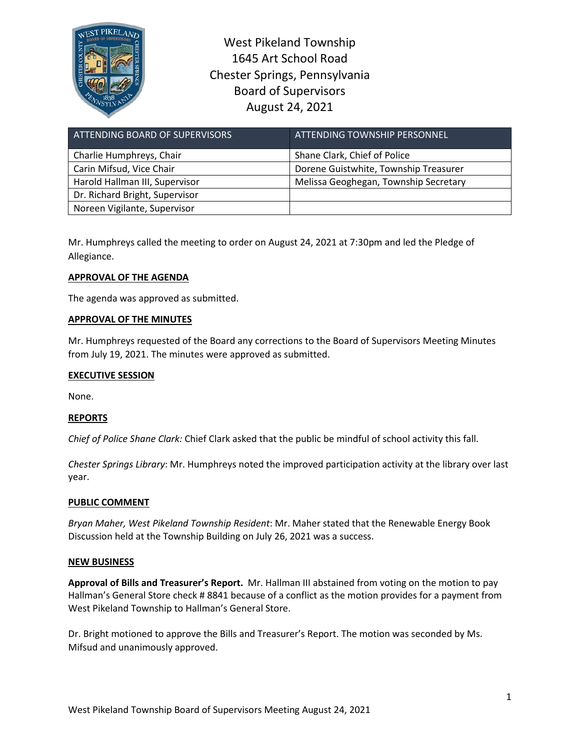

West Pikeland Township 1645 Art School Road Chester Springs, Pennsylvania Board of Supervisors August 24, 2021

| ATTENDING BOARD OF SUPERVISORS | ATTENDING TOWNSHIP PERSONNEL          |
|--------------------------------|---------------------------------------|
| Charlie Humphreys, Chair       | Shane Clark, Chief of Police          |
| Carin Mifsud, Vice Chair       | Dorene Guistwhite, Township Treasurer |
| Harold Hallman III, Supervisor | Melissa Geoghegan, Township Secretary |
| Dr. Richard Bright, Supervisor |                                       |
| Noreen Vigilante, Supervisor   |                                       |

Mr. Humphreys called the meeting to order on August 24, 2021 at 7:30pm and led the Pledge of Allegiance.

# **APPROVAL OF THE AGENDA**

The agenda was approved as submitted.

## **APPROVAL OF THE MINUTES**

Mr. Humphreys requested of the Board any corrections to the Board of Supervisors Meeting Minutes from July 19, 2021. The minutes were approved as submitted.

## **EXECUTIVE SESSION**

None.

## **REPORTS**

*Chief of Police Shane Clark:* Chief Clark asked that the public be mindful of school activity this fall.

*Chester Springs Library*: Mr. Humphreys noted the improved participation activity at the library over last year.

## **PUBLIC COMMENT**

*Bryan Maher, West Pikeland Township Resident*: Mr. Maher stated that the Renewable Energy Book Discussion held at the Township Building on July 26, 2021 was a success.

### **NEW BUSINESS**

**Approval of Bills and Treasurer's Report.** Mr. Hallman III abstained from voting on the motion to pay Hallman's General Store check # 8841 because of a conflict as the motion provides for a payment from West Pikeland Township to Hallman's General Store.

Dr. Bright motioned to approve the Bills and Treasurer's Report. The motion was seconded by Ms. Mifsud and unanimously approved.